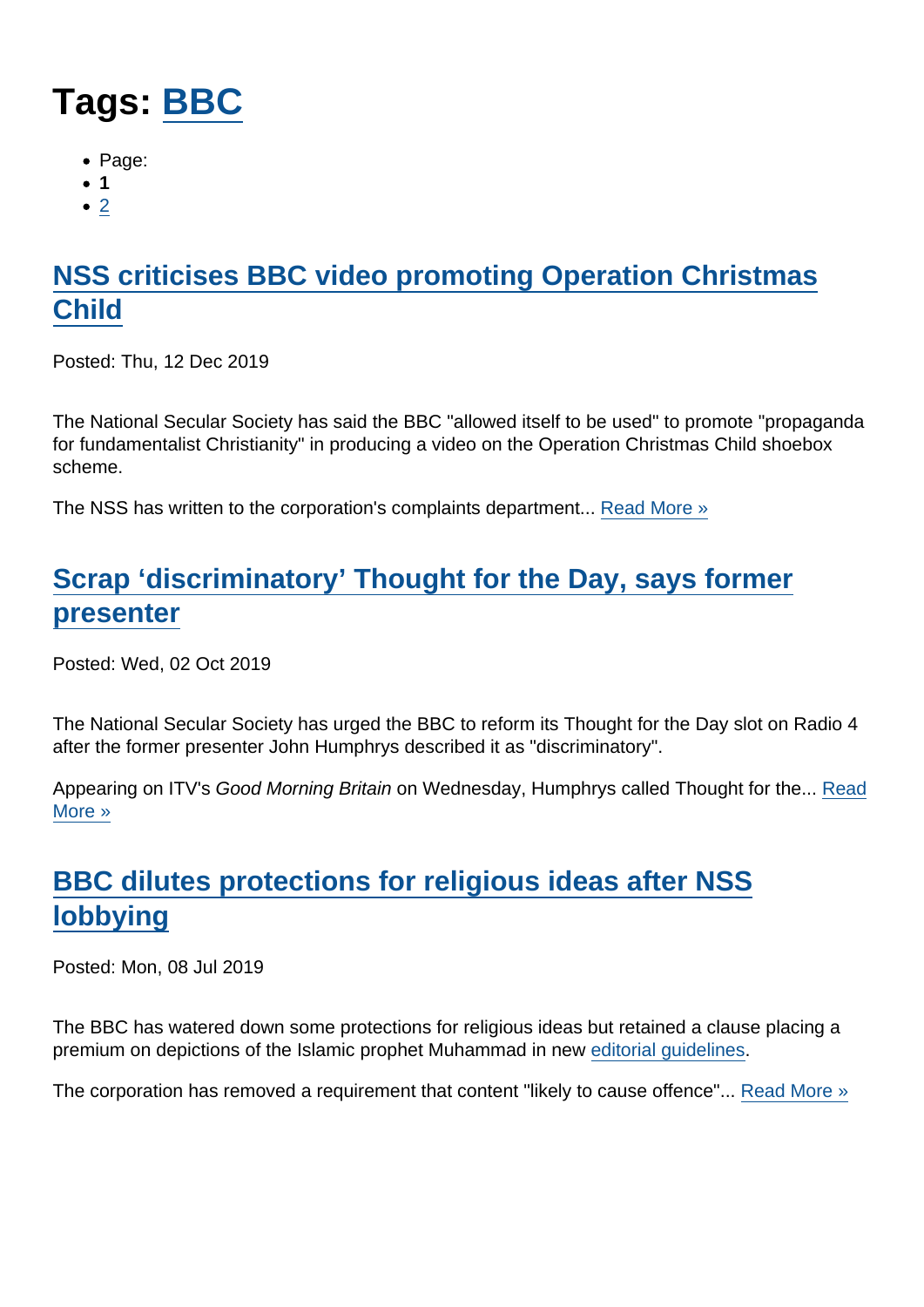# Tags: [BBC](https://www.secularism.org.uk/news/tags/BBC)

- Page:
- 1
- $\bullet$  [2](/mnt/web-data/www/cp-nss/news/tags/BBC)

# [NSS criticises BBC video promoting Operation Christmas](https://www.secularism.org.uk/news/2019/12/nss-criticises-bbc-video-promoting-operation-christmas-child) [Child](https://www.secularism.org.uk/news/2019/12/nss-criticises-bbc-video-promoting-operation-christmas-child)

Posted: Thu, 12 Dec 2019

The National Secular Society has said the BBC "allowed itself to be used" to promote "propaganda for fundamentalist Christianity" in producing a video on the Operation Christmas Child shoebox scheme.

The NSS has written to the corporation's complaints department... [Read More »](https://www.secularism.org.uk/news/2019/12/nss-criticises-bbc-video-promoting-operation-christmas-child)

# [Scrap 'discriminatory' Thought for the Day, says former](https://www.secularism.org.uk/news/2019/10/scrap-discriminatory-thought-for-the-day-says-former-presenter) [presenter](https://www.secularism.org.uk/news/2019/10/scrap-discriminatory-thought-for-the-day-says-former-presenter)

Posted: Wed, 02 Oct 2019

The National Secular Society has urged the BBC to reform its Thought for the Day slot on Radio 4 after the former presenter John Humphrys described it as "discriminatory".

Appearing on ITV's Good Morning Britain on Wednesday, Humphrys called Thought for the... [Read](https://www.secularism.org.uk/news/2019/10/scrap-discriminatory-thought-for-the-day-says-former-presenter) [More »](https://www.secularism.org.uk/news/2019/10/scrap-discriminatory-thought-for-the-day-says-former-presenter)

# [BBC dilutes protections for religious ideas after NSS](https://www.secularism.org.uk/news/2019/07/bbc-dilutes-protections-for-religious-ideas-after-nss-lobbying) [lobbying](https://www.secularism.org.uk/news/2019/07/bbc-dilutes-protections-for-religious-ideas-after-nss-lobbying)

Posted: Mon, 08 Jul 2019

The BBC has watered down some protections for religious ideas but retained a clause placing a premium on depictions of the Islamic prophet Muhammad in new [editorial guidelines](https://www.bbc.com/editorialguidelines/guidelines).

The corporation has removed a requirement that content "likely to cause offence"... [Read More »](https://www.secularism.org.uk/news/2019/07/bbc-dilutes-protections-for-religious-ideas-after-nss-lobbying)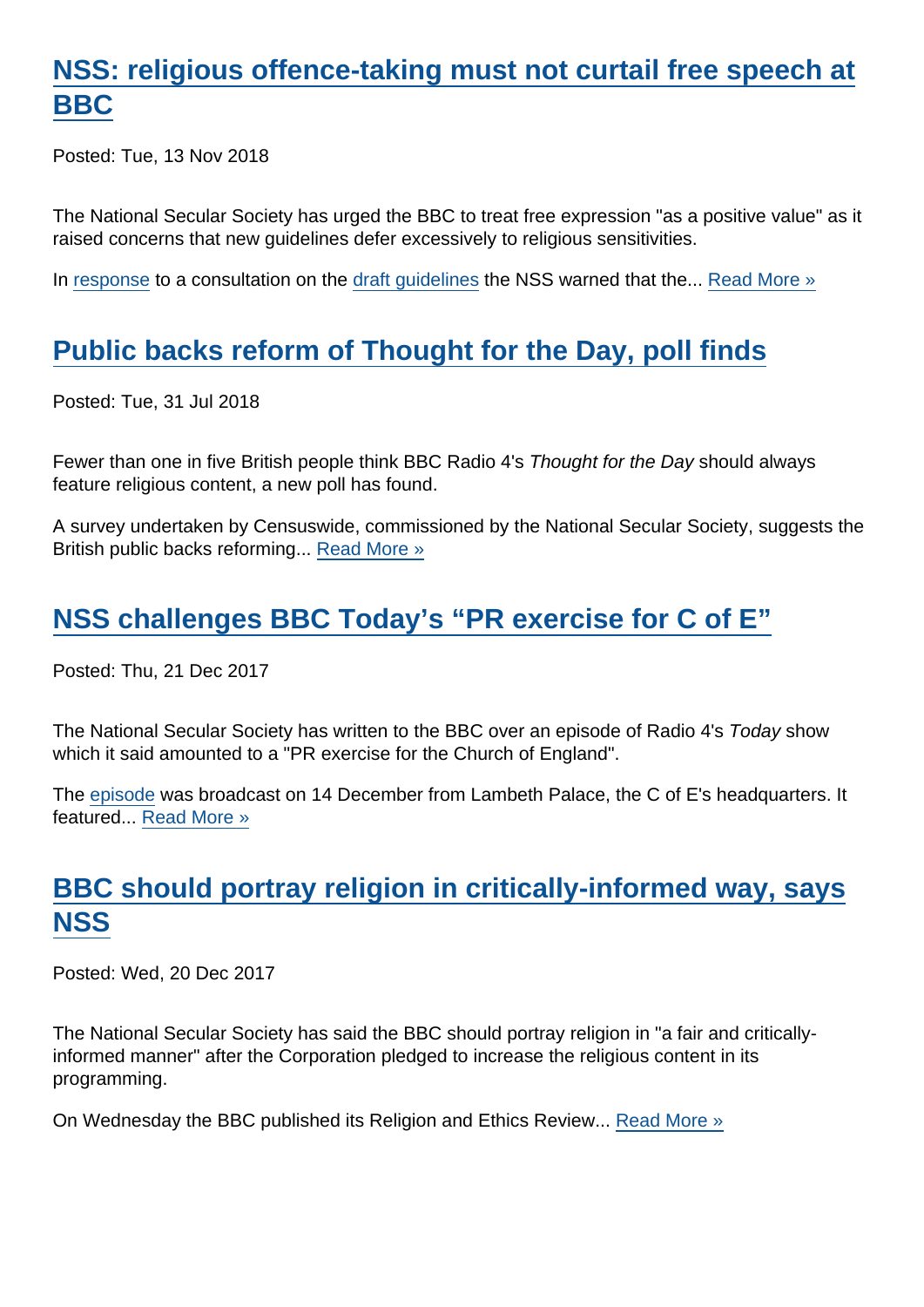### [NSS: religious offence-taking must not curtail free speech at](https://www.secularism.org.uk/news/2018/11/nss-religious-offence-taking-must-not-curtail-free-speech-at-bbc) [BBC](https://www.secularism.org.uk/news/2018/11/nss-religious-offence-taking-must-not-curtail-free-speech-at-bbc)

Posted: Tue, 13 Nov 2018

The National Secular Society has urged the BBC to treat free expression "as a positive value" as it raised concerns that new guidelines defer excessively to religious sensitivities.

In [response](https://www.secularism.org.uk/uploads/response-to-bbc-draft-editorial-guidelines.pdf) to a consultation on the [draft guidelines](http://downloads.bbc.co.uk/aboutthebbc/insidethebbc/howwework/accountability/consultations/draft_editorial_guidelines.pdf) the NSS warned that the... [Read More »](https://www.secularism.org.uk/news/2018/11/nss-religious-offence-taking-must-not-curtail-free-speech-at-bbc)

# [Public backs reform of Thought for the Day, poll finds](https://www.secularism.org.uk/news/2018/07/public-backs-reform-of-thought-for-the-day-poll-finds)

Posted: Tue, 31 Jul 2018

Fewer than one in five British people think BBC Radio 4's Thought for the Day should always feature religious content, a new poll has found.

A survey undertaken by Censuswide, commissioned by the National Secular Society, suggests the British public backs reforming... [Read More »](https://www.secularism.org.uk/news/2018/07/public-backs-reform-of-thought-for-the-day-poll-finds)

# [NSS challenges BBC Today's "PR exercise for C of E"](https://www.secularism.org.uk/news/2017/12/nss-complains-to-bbc-over-todays-pr-exercise-for-c-of-e)

Posted: Thu, 21 Dec 2017

The National Secular Society has written to the BBC over an episode of Radio 4's Today show which it said amounted to a "PR exercise for the Church of England".

The [episode](http://www.bbc.co.uk/programmes/b09hp2rk) was broadcast on 14 December from Lambeth Palace, the C of E's headquarters. It featured... [Read More »](https://www.secularism.org.uk/news/2017/12/nss-complains-to-bbc-over-todays-pr-exercise-for-c-of-e)

# [BBC should portray religion in critically-informed way, says](https://www.secularism.org.uk/news/2017/12/bbc-should-portray-religion-in-critically-informed-way-says-nss) **[NSS](https://www.secularism.org.uk/news/2017/12/bbc-should-portray-religion-in-critically-informed-way-says-nss)**

Posted: Wed, 20 Dec 2017

The National Secular Society has said the BBC should portray religion in "a fair and criticallyinformed manner" after the Corporation pledged to increase the religious content in its programming.

On Wednesday the BBC published its Religion and Ethics Review... [Read More »](https://www.secularism.org.uk/news/2017/12/bbc-should-portray-religion-in-critically-informed-way-says-nss)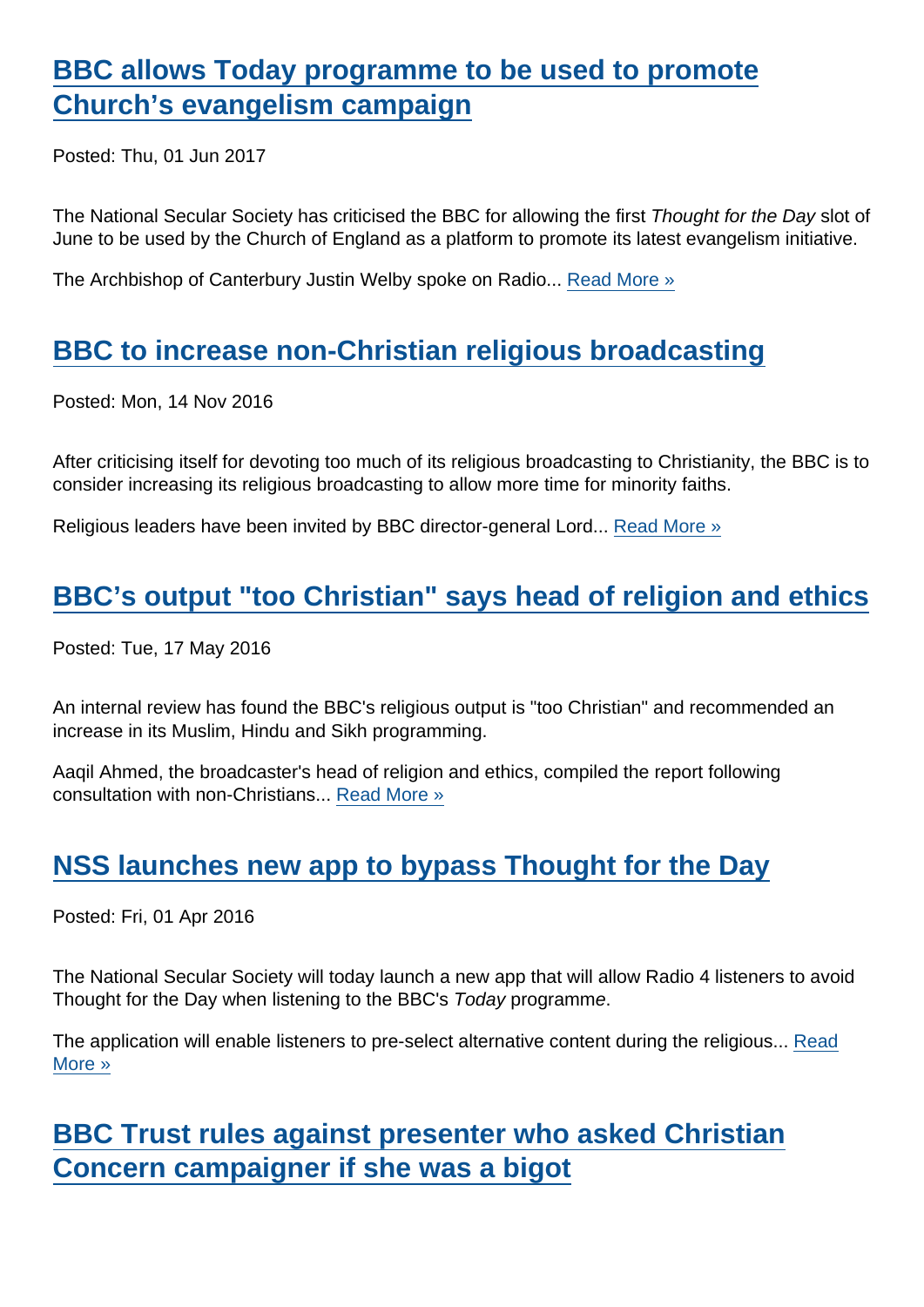### [BBC allows Today programme to be used to promote](https://www.secularism.org.uk/news/2017/06/bbc-allows-today-programme-to-be-used-to-promote-churchs-evangelism-campaign) [Church's evangelism campaign](https://www.secularism.org.uk/news/2017/06/bbc-allows-today-programme-to-be-used-to-promote-churchs-evangelism-campaign)

Posted: Thu, 01 Jun 2017

The National Secular Society has criticised the BBC for allowing the first Thought for the Day slot of June to be used by the Church of England as a platform to promote its latest evangelism initiative.

The Archbishop of Canterbury Justin Welby spoke on Radio... [Read More »](https://www.secularism.org.uk/news/2017/06/bbc-allows-today-programme-to-be-used-to-promote-churchs-evangelism-campaign)

### [BBC to increase non-Christian religious broadcasting](https://www.secularism.org.uk/news/2016/11/bbc-to-increase-non-christian-religious-broadcasting)

Posted: Mon, 14 Nov 2016

After criticising itself for devoting too much of its religious broadcasting to Christianity, the BBC is to consider increasing its religious broadcasting to allow more time for minority faiths.

Religious leaders have been invited by BBC director-general Lord... [Read More »](https://www.secularism.org.uk/news/2016/11/bbc-to-increase-non-christian-religious-broadcasting)

#### [BBC's output "too Christian" says head of religion and ethics](https://www.secularism.org.uk/news/2016/05/bbcs-output-too-christian-says-head-of-religion-and-ethics)

Posted: Tue, 17 May 2016

An internal review has found the BBC's religious output is "too Christian" and recommended an increase in its Muslim, Hindu and Sikh programming.

Aaqil Ahmed, the broadcaster's head of religion and ethics, compiled the report following consultation with non-Christians... [Read More »](https://www.secularism.org.uk/news/2016/05/bbcs-output-too-christian-says-head-of-religion-and-ethics)

#### [NSS launches new app to bypass Thought for the Day](https://www.secularism.org.uk/news/2016/04/nss-launches-new-app-to-bypass-thought-for-the-day)

Posted: Fri, 01 Apr 2016

The National Secular Society will today launch a new app that will allow Radio 4 listeners to avoid Thought for the Day when listening to the BBC's Today programme.

The application will enable listeners to pre-select alternative content during the religious... [Read](https://www.secularism.org.uk/news/2016/04/nss-launches-new-app-to-bypass-thought-for-the-day) [More »](https://www.secularism.org.uk/news/2016/04/nss-launches-new-app-to-bypass-thought-for-the-day)

### [BBC Trust rules against presenter who asked Christian](https://www.secularism.org.uk/news/2016/03/bbc-trust-rules-against-presenter-who-asked-christian-concern-campaigner-if-she-was-a-bigot) [Concern campaigner if she was a bigot](https://www.secularism.org.uk/news/2016/03/bbc-trust-rules-against-presenter-who-asked-christian-concern-campaigner-if-she-was-a-bigot)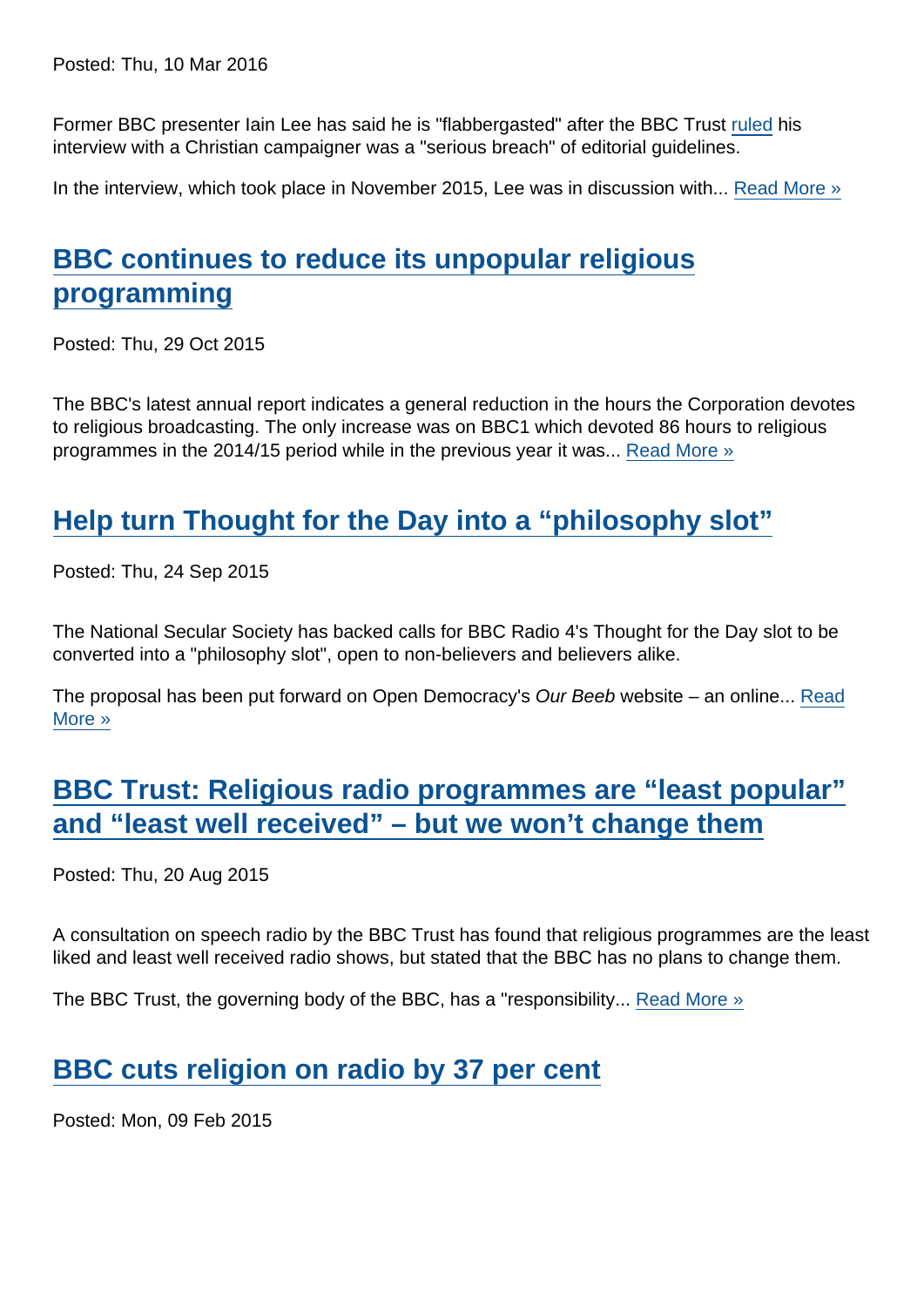Posted: Thu, 10 Mar 2016

Former BBC presenter Iain Lee has said he is "flabbergasted" after the BBC Trust [ruled](http://downloads.bbc.co.uk/bbctrust/assets/files/pdf/appeals/esc_bulletins/2016/esc_bulletin_dec_jan_2.pdf) his interview with a Christian campaigner was a "serious breach" of editorial guidelines.

In the interview, which took place in November 2015, Lee was in discussion with... [Read More »](https://www.secularism.org.uk/news/2016/03/bbc-trust-rules-against-presenter-who-asked-christian-concern-campaigner-if-she-was-a-bigot)

### [BBC continues to reduce its unpopular religious](https://www.secularism.org.uk/news/2015/10/bbc-continues-to-reduce-its-unpopular-religious-programming) [programming](https://www.secularism.org.uk/news/2015/10/bbc-continues-to-reduce-its-unpopular-religious-programming)

Posted: Thu, 29 Oct 2015

The BBC's latest annual report indicates a general reduction in the hours the Corporation devotes to religious broadcasting. The only increase was on BBC1 which devoted 86 hours to religious programmes in the 2014/15 period while in the previous year it was... [Read More »](https://www.secularism.org.uk/news/2015/10/bbc-continues-to-reduce-its-unpopular-religious-programming)

### [Help turn Thought for the Day into a "philosophy slot"](https://www.secularism.org.uk/news/2015/09/help-turn-thought-for-the-day-into-a-philosophy-slot)

Posted: Thu, 24 Sep 2015

The National Secular Society has backed calls for BBC Radio 4's Thought for the Day slot to be converted into a "philosophy slot", open to non-believers and believers alike.

The proposal has been put forward on Open Democracy's Our Beeb website – an online... [Read](https://www.secularism.org.uk/news/2015/09/help-turn-thought-for-the-day-into-a-philosophy-slot) [More »](https://www.secularism.org.uk/news/2015/09/help-turn-thought-for-the-day-into-a-philosophy-slot)

[BBC Trust: Religious radio programmes are "least popular"](https://www.secularism.org.uk/news/2015/08/bbc-trust-religious-radio-programmes-are-least-popular-and-least-well-received-but-we-wont-change-them) [and "least well received" – but we won't change them](https://www.secularism.org.uk/news/2015/08/bbc-trust-religious-radio-programmes-are-least-popular-and-least-well-received-but-we-wont-change-them)

Posted: Thu, 20 Aug 2015

A consultation on speech radio by the BBC Trust has found that religious programmes are the least liked and least well received radio shows, but stated that the BBC has no plans to change them.

The BBC Trust, the governing body of the BBC, has a "responsibility... [Read More »](https://www.secularism.org.uk/news/2015/08/bbc-trust-religious-radio-programmes-are-least-popular-and-least-well-received-but-we-wont-change-them)

# [BBC cuts religion on radio by 37 per cent](https://www.secularism.org.uk/news/2015/02/bbc-cuts-religion-on-radio-by-37-per-cent)

Posted: Mon, 09 Feb 2015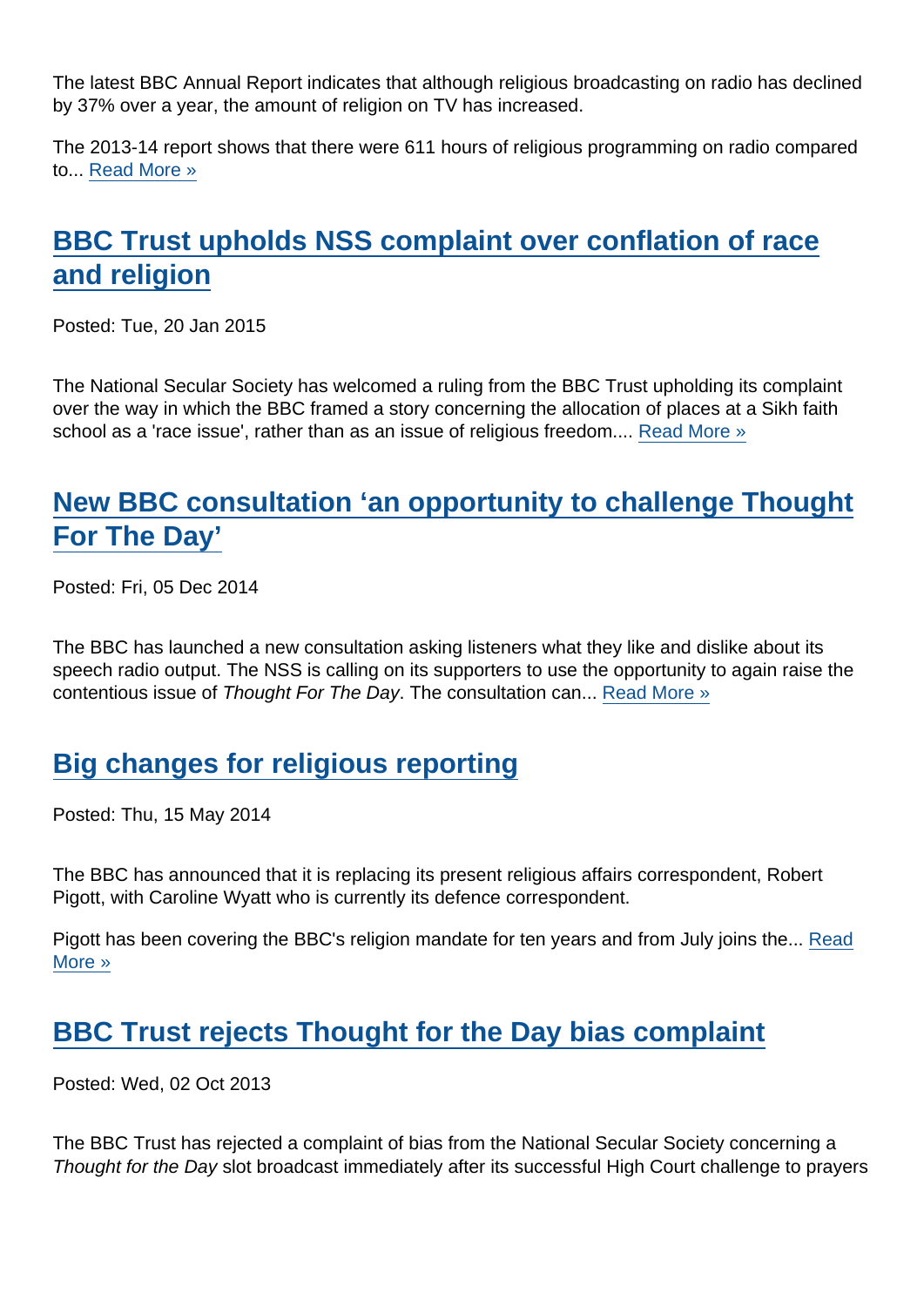The latest BBC Annual Report indicates that although religious broadcasting on radio has declined by 37% over a year, the amount of religion on TV has increased.

The 2013-14 report shows that there were 611 hours of religious programming on radio compared to... [Read More »](https://www.secularism.org.uk/news/2015/02/bbc-cuts-religion-on-radio-by-37-per-cent)

# [BBC Trust upholds NSS complaint over conflation of race](https://www.secularism.org.uk/news/2015/01/bbc-trust-upholds-nss-complaint-over-conflation-of-race-and-religion) [and religion](https://www.secularism.org.uk/news/2015/01/bbc-trust-upholds-nss-complaint-over-conflation-of-race-and-religion)

Posted: Tue, 20 Jan 2015

The National Secular Society has welcomed a ruling from the BBC Trust upholding its complaint over the way in which the BBC framed a story concerning the allocation of places at a Sikh faith school as a 'race issue', rather than as an issue of religious freedom.... [Read More »](https://www.secularism.org.uk/news/2015/01/bbc-trust-upholds-nss-complaint-over-conflation-of-race-and-religion)

# [New BBC consultation 'an opportunity to challenge Thought](https://www.secularism.org.uk/news/2014/12/new-bbc-consultation-an-opportunity-to-challenge-thought-for-the-day) [For The Day'](https://www.secularism.org.uk/news/2014/12/new-bbc-consultation-an-opportunity-to-challenge-thought-for-the-day)

Posted: Fri, 05 Dec 2014

The BBC has launched a new consultation asking listeners what they like and dislike about its speech radio output. The NSS is calling on its supporters to use the opportunity to again raise the contentious issue of Thought For The Day. The consultation can... [Read More »](https://www.secularism.org.uk/news/2014/12/new-bbc-consultation-an-opportunity-to-challenge-thought-for-the-day)

### [Big changes for religious reporting](https://www.secularism.org.uk/news/2014/05/big-changes-for-religious-reporting)

Posted: Thu, 15 May 2014

The BBC has announced that it is replacing its present religious affairs correspondent, Robert Pigott, with Caroline Wyatt who is currently its defence correspondent.

Pigott has been covering the BBC's religion mandate for ten years and from July joins the... [Read](https://www.secularism.org.uk/news/2014/05/big-changes-for-religious-reporting) [More »](https://www.secularism.org.uk/news/2014/05/big-changes-for-religious-reporting)

### [BBC Trust rejects Thought for the Day bias complaint](https://www.secularism.org.uk/news/2013/10/bbc-trust-rejects-thought-for-the-day-bias-complaint)

Posted: Wed, 02 Oct 2013

The BBC Trust has rejected a complaint of bias from the National Secular Society concerning a Thought for the Day slot broadcast immediately after its successful High Court challenge to prayers